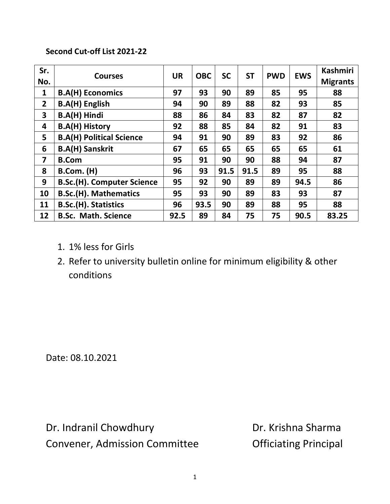## **Second Cut-off List 2021-22**

| Sr.<br>No.              | <b>Courses</b>                    | <b>UR</b> | <b>OBC</b> | <b>SC</b> | <b>ST</b> | <b>PWD</b> | <b>EWS</b> | <b>Kashmiri</b><br><b>Migrants</b> |
|-------------------------|-----------------------------------|-----------|------------|-----------|-----------|------------|------------|------------------------------------|
| $\mathbf{1}$            | <b>B.A(H) Economics</b>           | 97        | 93         | 90        | 89        | 85         | 95         | 88                                 |
| $\overline{2}$          | <b>B.A(H) English</b>             | 94        | 90         | 89        | 88        | 82         | 93         | 85                                 |
| 3                       | <b>B.A(H) Hindi</b>               | 88        | 86         | 84        | 83        | 82         | 87         | 82                                 |
| 4                       | <b>B.A(H) History</b>             | 92        | 88         | 85        | 84        | 82         | 91         | 83                                 |
| 5                       | <b>B.A(H) Political Science</b>   | 94        | 91         | 90        | 89        | 83         | 92         | 86                                 |
| 6                       | <b>B.A(H) Sanskrit</b>            | 67        | 65         | 65        | 65        | 65         | 65         | 61                                 |
| $\overline{\mathbf{z}}$ | <b>B.Com</b>                      | 95        | 91         | 90        | 90        | 88         | 94         | 87                                 |
| 8                       | <b>B.Com. (H)</b>                 | 96        | 93         | 91.5      | 91.5      | 89         | 95         | 88                                 |
| 9                       | <b>B.Sc.(H). Computer Science</b> | 95        | 92         | 90        | 89        | 89         | 94.5       | 86                                 |
| 10                      | <b>B.Sc.(H). Mathematics</b>      | 95        | 93         | 90        | 89        | 83         | 93         | 87                                 |
| 11                      | <b>B.Sc.(H). Statistics</b>       | 96        | 93.5       | 90        | 89        | 88         | 95         | 88                                 |
| 12                      | <b>B.Sc. Math. Science</b>        | 92.5      | 89         | 84        | 75        | 75         | 90.5       | 83.25                              |

- 1. 1% less for Girls
- 2. Refer to university bulletin online for minimum eligibility & other conditions

Date: 08.10.2021

Dr. Indranil Chowdhury **Dr. Krishna Sharma** Convener, Admission Committee **Conventugal** Convener, Admission Committee